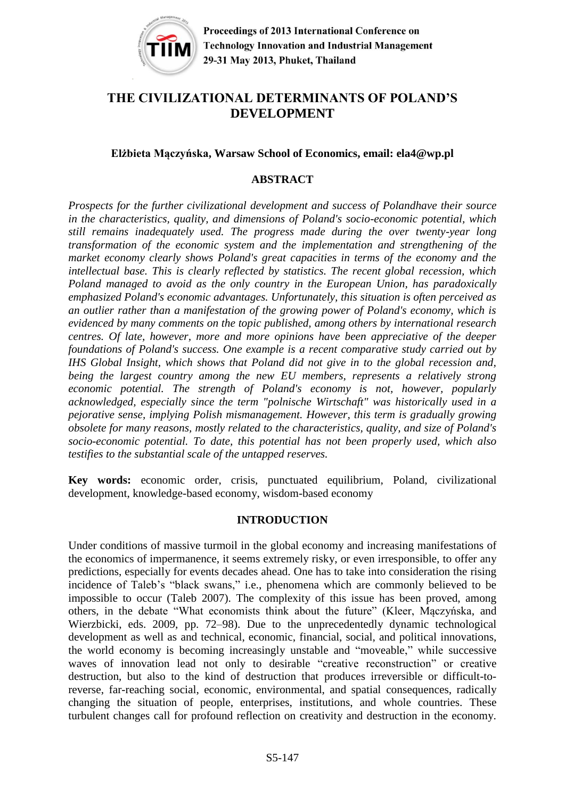

# **THE CIVILIZATIONAL DETERMINANTS OF POLAND'S DEVELOPMENT**

### **Elżbieta Mączyńska, Warsaw School of Economics, email: [ela4@wp.pl](mailto:ela4@wp.pl)**

### **ABSTRACT**

*Prospects for the further civilizational development and success of Polandhave their source in the characteristics, quality, and dimensions of Poland's socio-economic potential, which still remains inadequately used. The progress made during the over twenty-year long transformation of the economic system and the implementation and strengthening of the market economy clearly shows Poland's great capacities in terms of the economy and the intellectual base. This is clearly reflected by statistics. The recent global recession, which Poland managed to avoid as the only country in the European Union, has paradoxically emphasized Poland's economic advantages. Unfortunately, this situation is often perceived as an outlier rather than a manifestation of the growing power of Poland's economy, which is evidenced by many comments on the topic published, among others by international research centres. Of late, however, more and more opinions have been appreciative of the deeper foundations of Poland's success. One example is a recent comparative study carried out by IHS Global Insight, which shows that Poland did not give in to the global recession and, being the largest country among the new EU members, represents a relatively strong economic potential. The strength of Poland's economy is not, however, popularly acknowledged, especially since the term "polnische Wirtschaft" was historically used in a pejorative sense, implying Polish mismanagement. However, this term is gradually growing obsolete for many reasons, mostly related to the characteristics, quality, and size of Poland's socio-economic potential. To date, this potential has not been properly used, which also testifies to the substantial scale of the untapped reserves.*

**Key words:** economic order, crisis, punctuated equilibrium, Poland, civilizational development, knowledge-based economy, wisdom-based economy

### **INTRODUCTION**

Under conditions of massive turmoil in the global economy and increasing manifestations of the economics of impermanence, it seems extremely risky, or even irresponsible, to offer any predictions, especially for events decades ahead. One has to take into consideration the rising incidence of Taleb's "black swans," i.e., phenomena which are commonly believed to be impossible to occur (Taleb 2007). The complexity of this issue has been proved, among others, in the debate "What economists think about the future" (Kleer, Mączyńska, and Wierzbicki, eds. 2009, pp. 72–98). Due to the unprecedentedly dynamic technological development as well as and technical, economic, financial, social, and political innovations, the world economy is becoming increasingly unstable and "moveable," while successive waves of innovation lead not only to desirable "creative reconstruction" or creative destruction, but also to the kind of destruction that produces irreversible or difficult-toreverse, far-reaching social, economic, environmental, and spatial consequences, radically changing the situation of people, enterprises, institutions, and whole countries. These turbulent changes call for profound reflection on creativity and destruction in the economy.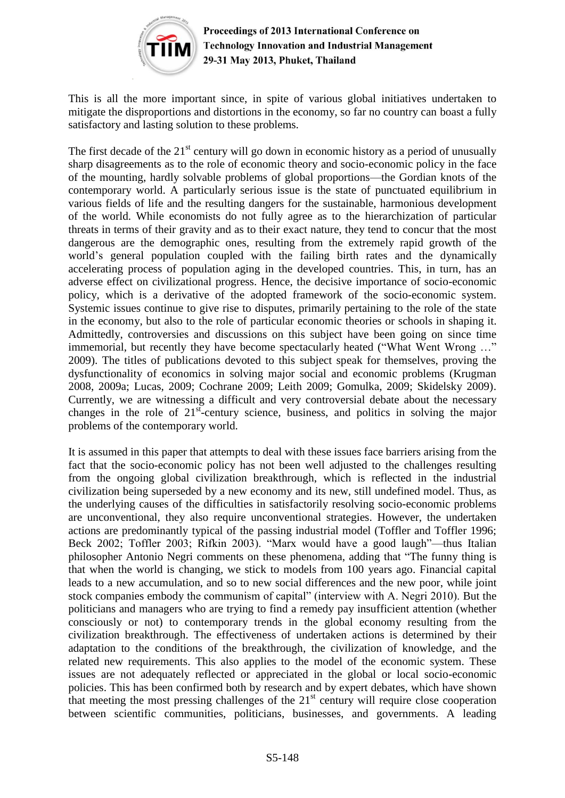

This is all the more important since, in spite of various global initiatives undertaken to mitigate the disproportions and distortions in the economy, so far no country can boast a fully satisfactory and lasting solution to these problems.

The first decade of the  $21<sup>st</sup>$  century will go down in economic history as a period of unusually sharp disagreements as to the role of economic theory and socio-economic policy in the face of the mounting, hardly solvable problems of global proportions—the Gordian knots of the contemporary world. A particularly serious issue is the state of punctuated equilibrium in various fields of life and the resulting dangers for the sustainable, harmonious development of the world. While economists do not fully agree as to the hierarchization of particular threats in terms of their gravity and as to their exact nature, they tend to concur that the most dangerous are the demographic ones, resulting from the extremely rapid growth of the world's general population coupled with the failing birth rates and the dynamically accelerating process of population aging in the developed countries. This, in turn, has an adverse effect on civilizational progress. Hence, the decisive importance of socio-economic policy, which is a derivative of the adopted framework of the socio-economic system. Systemic issues continue to give rise to disputes, primarily pertaining to the role of the state in the economy, but also to the role of particular economic theories or schools in shaping it. Admittedly, controversies and discussions on this subject have been going on since time immemorial, but recently they have become spectacularly heated ("What Went Wrong …" 2009). The titles of publications devoted to this subject speak for themselves, proving the dysfunctionality of economics in solving major social and economic problems (Krugman 2008, 2009a; Lucas, 2009; Cochrane 2009; Leith 2009; Gomulka, 2009; Skidelsky 2009). Currently, we are witnessing a difficult and very controversial debate about the necessary changes in the role of  $21<sup>st</sup>$ -century science, business, and politics in solving the major problems of the contemporary world.

It is assumed in this paper that attempts to deal with these issues face barriers arising from the fact that the socio-economic policy has not been well adjusted to the challenges resulting from the ongoing global civilization breakthrough, which is reflected in the industrial civilization being superseded by a new economy and its new, still undefined model. Thus, as the underlying causes of the difficulties in satisfactorily resolving socio-economic problems are unconventional, they also require unconventional strategies. However, the undertaken actions are predominantly typical of the passing industrial model (Toffler and Toffler 1996; Beck 2002; Toffler 2003; Rifkin 2003). "Marx would have a good laugh"—thus Italian philosopher Antonio Negri comments on these phenomena, adding that "The funny thing is that when the world is changing, we stick to models from 100 years ago. Financial capital leads to a new accumulation, and so to new social differences and the new poor, while joint stock companies embody the communism of capital" (interview with A. Negri 2010). But the politicians and managers who are trying to find a remedy pay insufficient attention (whether consciously or not) to contemporary trends in the global economy resulting from the civilization breakthrough. The effectiveness of undertaken actions is determined by their adaptation to the conditions of the breakthrough, the civilization of knowledge, and the related new requirements. This also applies to the model of the economic system. These issues are not adequately reflected or appreciated in the global or local socio-economic policies. This has been confirmed both by research and by expert debates, which have shown that meeting the most pressing challenges of the  $21<sup>st</sup>$  century will require close cooperation between scientific communities, politicians, businesses, and governments. A leading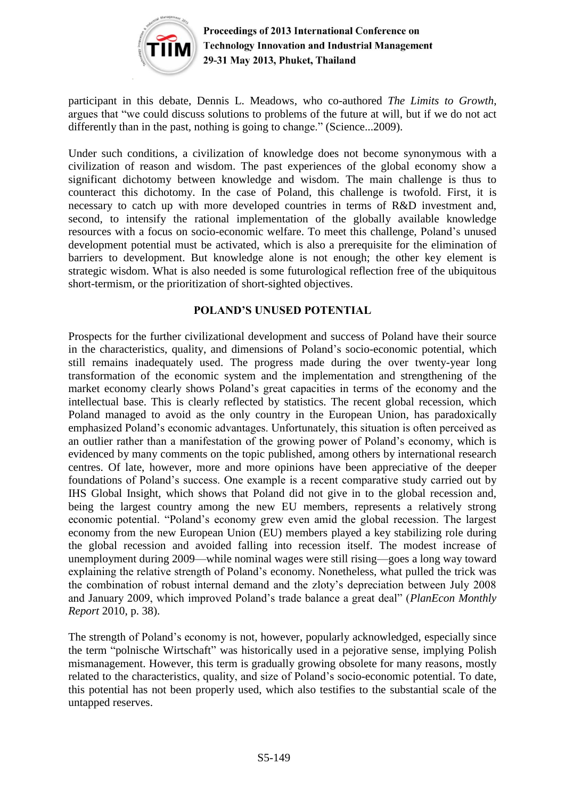

participant in this debate, Dennis L. Meadows, who co-authored *The Limits to Growth*, argues that "we could discuss solutions to problems of the future at will, but if we do not act differently than in the past, nothing is going to change." (Science...2009).

Under such conditions, a civilization of knowledge does not become synonymous with a civilization of reason and wisdom. The past experiences of the global economy show a significant dichotomy between knowledge and wisdom. The main challenge is thus to counteract this dichotomy. In the case of Poland, this challenge is twofold. First, it is necessary to catch up with more developed countries in terms of R&D investment and, second, to intensify the rational implementation of the globally available knowledge resources with a focus on socio-economic welfare. To meet this challenge, Poland's unused development potential must be activated, which is also a prerequisite for the elimination of barriers to development. But knowledge alone is not enough; the other key element is strategic wisdom. What is also needed is some futurological reflection free of the ubiquitous short-termism, or the prioritization of short-sighted objectives.

# **POLAND'S UNUSED POTENTIAL**

Prospects for the further civilizational development and success of Poland have their source in the characteristics, quality, and dimensions of Poland's socio-economic potential, which still remains inadequately used. The progress made during the over twenty-year long transformation of the economic system and the implementation and strengthening of the market economy clearly shows Poland's great capacities in terms of the economy and the intellectual base. This is clearly reflected by statistics. The recent global recession, which Poland managed to avoid as the only country in the European Union, has paradoxically emphasized Poland's economic advantages. Unfortunately, this situation is often perceived as an outlier rather than a manifestation of the growing power of Poland's economy, which is evidenced by many comments on the topic published, among others by international research centres. Of late, however, more and more opinions have been appreciative of the deeper foundations of Poland's success. One example is a recent comparative study carried out by IHS Global Insight, which shows that Poland did not give in to the global recession and, being the largest country among the new EU members, represents a relatively strong economic potential. "Poland's economy grew even amid the global recession. The largest economy from the new European Union (EU) members played a key stabilizing role during the global recession and avoided falling into recession itself. The modest increase of unemployment during 2009—while nominal wages were still rising—goes a long way toward explaining the relative strength of Poland's economy. Nonetheless, what pulled the trick was the combination of robust internal demand and the zloty's depreciation between July 2008 and January 2009, which improved Poland's trade balance a great deal" (*PlanEcon Monthly Report* 2010, p. 38).

The strength of Poland's economy is not, however, popularly acknowledged, especially since the term "polnische Wirtschaft" was historically used in a pejorative sense, implying Polish mismanagement. However, this term is gradually growing obsolete for many reasons, mostly related to the characteristics, quality, and size of Poland's socio-economic potential. To date, this potential has not been properly used, which also testifies to the substantial scale of the untapped reserves.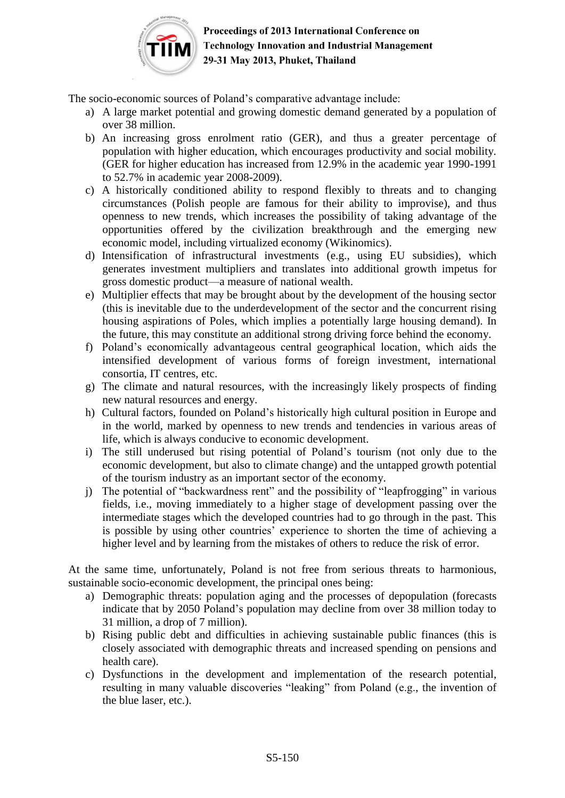

The socio-economic sources of Poland's comparative advantage include:

- a) A large market potential and growing domestic demand generated by a population of over 38 million.
- b) An increasing gross enrolment ratio (GER), and thus a greater percentage of population with higher education, which encourages productivity and social mobility. (GER for higher education has increased from 12.9% in the academic year 1990-1991 to 52.7% in academic year 2008-2009).
- c) A historically conditioned ability to respond flexibly to threats and to changing circumstances (Polish people are famous for their ability to improvise), and thus openness to new trends, which increases the possibility of taking advantage of the opportunities offered by the civilization breakthrough and the emerging new economic model, including virtualized economy (Wikinomics).
- d) Intensification of infrastructural investments (e.g., using EU subsidies), which generates investment multipliers and translates into additional growth impetus for gross domestic product—a measure of national wealth.
- e) Multiplier effects that may be brought about by the development of the housing sector (this is inevitable due to the underdevelopment of the sector and the concurrent rising housing aspirations of Poles, which implies a potentially large housing demand). In the future, this may constitute an additional strong driving force behind the economy.
- f) Poland's economically advantageous central geographical location, which aids the intensified development of various forms of foreign investment, international consortia, IT centres, etc.
- g) The climate and natural resources, with the increasingly likely prospects of finding new natural resources and energy.
- h) Cultural factors, founded on Poland's historically high cultural position in Europe and in the world, marked by openness to new trends and tendencies in various areas of life, which is always conducive to economic development.
- i) The still underused but rising potential of Poland's tourism (not only due to the economic development, but also to climate change) and the untapped growth potential of the tourism industry as an important sector of the economy.
- j) The potential of "backwardness rent" and the possibility of "leapfrogging" in various fields, i.e., moving immediately to a higher stage of development passing over the intermediate stages which the developed countries had to go through in the past. This is possible by using other countries' experience to shorten the time of achieving a higher level and by learning from the mistakes of others to reduce the risk of error.

At the same time, unfortunately, Poland is not free from serious threats to harmonious, sustainable socio-economic development, the principal ones being:

- a) Demographic threats: population aging and the processes of depopulation (forecasts indicate that by 2050 Poland's population may decline from over 38 million today to 31 million, a drop of 7 million).
- b) Rising public debt and difficulties in achieving sustainable public finances (this is closely associated with demographic threats and increased spending on pensions and health care).
- c) Dysfunctions in the development and implementation of the research potential, resulting in many valuable discoveries "leaking" from Poland (e.g., the invention of the blue laser, etc.).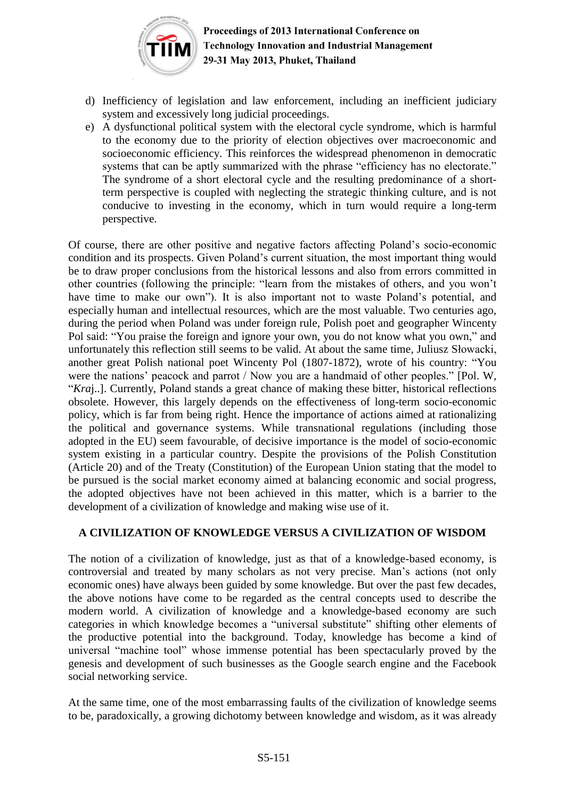

- d) Inefficiency of legislation and law enforcement, including an inefficient judiciary system and excessively long judicial proceedings.
- e) A dysfunctional political system with the electoral cycle syndrome, which is harmful to the economy due to the priority of election objectives over macroeconomic and socioeconomic efficiency. This reinforces the widespread phenomenon in democratic systems that can be aptly summarized with the phrase "efficiency has no electorate." The syndrome of a short electoral cycle and the resulting predominance of a shortterm perspective is coupled with neglecting the strategic thinking culture, and is not conducive to investing in the economy, which in turn would require a long-term perspective.

Of course, there are other positive and negative factors affecting Poland's socio-economic condition and its prospects. Given Poland's current situation, the most important thing would be to draw proper conclusions from the historical lessons and also from errors committed in other countries (following the principle: "learn from the mistakes of others, and you won't have time to make our own"). It is also important not to waste Poland's potential, and especially human and intellectual resources, which are the most valuable. Two centuries ago, during the period when Poland was under foreign rule, Polish poet and geographer Wincenty Pol said: "You praise the foreign and ignore your own, you do not know what you own," and unfortunately this reflection still seems to be valid. At about the same time, Juliusz Słowacki, another great Polish national poet Wincenty Pol (1807-1872), wrote of his country: "You were the nations' peacock and parrot / Now you are a handmaid of other peoples." [Pol. W, "*Kra*j..]. Currently, Poland stands a great chance of making these bitter, historical reflections obsolete. However, this largely depends on the effectiveness of long-term socio-economic policy, which is far from being right. Hence the importance of actions aimed at rationalizing the political and governance systems. While transnational regulations (including those adopted in the EU) seem favourable, of decisive importance is the model of socio-economic system existing in a particular country. Despite the provisions of the Polish Constitution (Article 20) and of the Treaty (Constitution) of the European Union stating that the model to be pursued is the social market economy aimed at balancing economic and social progress, the adopted objectives have not been achieved in this matter, which is a barrier to the development of a civilization of knowledge and making wise use of it.

# **A CIVILIZATION OF KNOWLEDGE VERSUS A CIVILIZATION OF WISDOM**

The notion of a civilization of knowledge, just as that of a knowledge-based economy, is controversial and treated by many scholars as not very precise. Man's actions (not only economic ones) have always been guided by some knowledge. But over the past few decades, the above notions have come to be regarded as the central concepts used to describe the modern world. A civilization of knowledge and a knowledge-based economy are such categories in which knowledge becomes a "universal substitute" shifting other elements of the productive potential into the background. Today, knowledge has become a kind of universal "machine tool" whose immense potential has been spectacularly proved by the genesis and development of such businesses as the Google search engine and the Facebook social networking service.

At the same time, one of the most embarrassing faults of the civilization of knowledge seems to be, paradoxically, a growing dichotomy between knowledge and wisdom, as it was already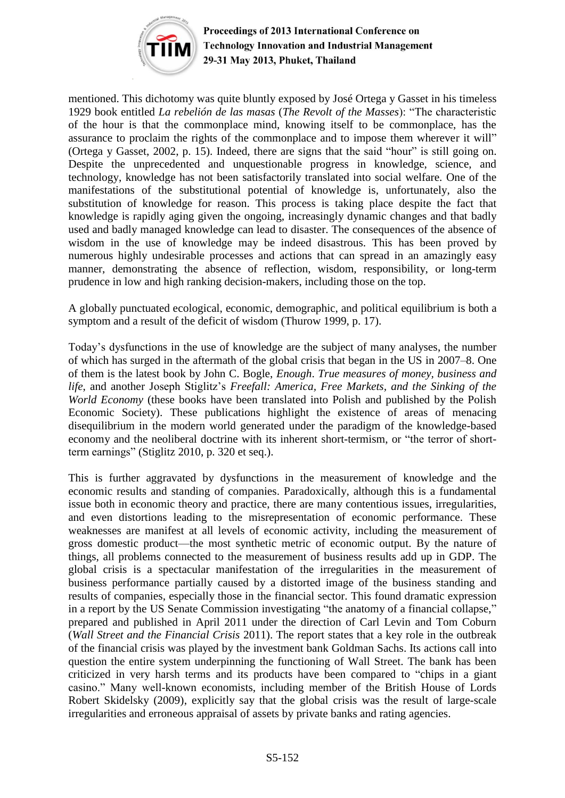

mentioned. This dichotomy was quite bluntly exposed by José Ortega y Gasset in his timeless 1929 book entitled *La rebelión de las masas* (*The Revolt of the Masses*): "The characteristic of the hour is that the commonplace mind, knowing itself to be commonplace, has the assurance to proclaim the rights of the commonplace and to impose them wherever it will" (Ortega y Gasset, 2002, p. 15). Indeed, there are signs that the said "hour" is still going on. Despite the unprecedented and unquestionable progress in knowledge, science, and technology, knowledge has not been satisfactorily translated into social welfare. One of the manifestations of the substitutional potential of knowledge is, unfortunately, also the substitution of knowledge for reason. This process is taking place despite the fact that knowledge is rapidly aging given the ongoing, increasingly dynamic changes and that badly used and badly managed knowledge can lead to disaster. The consequences of the absence of wisdom in the use of knowledge may be indeed disastrous. This has been proved by numerous highly undesirable processes and actions that can spread in an amazingly easy manner, demonstrating the absence of reflection, wisdom, responsibility, or long-term prudence in low and high ranking decision-makers, including those on the top.

A globally punctuated ecological, economic, demographic, and political equilibrium is both a symptom and a result of the deficit of wisdom (Thurow 1999, p. 17).

Today's dysfunctions in the use of knowledge are the subject of many analyses, the number of which has surged in the aftermath of the global crisis that began in the US in 2007–8. One of them is the latest book by John C. Bogle, *Enough*. *True measures of money, business and life*, and another Joseph Stiglitz's *Freefall: America, Free Markets, and the Sinking of the World Economy* (these books have been translated into Polish and published by the Polish Economic Society). These publications highlight the existence of areas of menacing disequilibrium in the modern world generated under the paradigm of the knowledge-based economy and the neoliberal doctrine with its inherent short-termism, or "the terror of shortterm earnings" (Stiglitz 2010, p. 320 et seq.).

This is further aggravated by dysfunctions in the measurement of knowledge and the economic results and standing of companies. Paradoxically, although this is a fundamental issue both in economic theory and practice, there are many contentious issues, irregularities, and even distortions leading to the misrepresentation of economic performance. These weaknesses are manifest at all levels of economic activity, including the measurement of gross domestic product—the most synthetic metric of economic output. By the nature of things, all problems connected to the measurement of business results add up in GDP. The global crisis is a spectacular manifestation of the irregularities in the measurement of business performance partially caused by a distorted image of the business standing and results of companies, especially those in the financial sector. This found dramatic expression in a report by the US Senate Commission investigating "the anatomy of a financial collapse," prepared and published in April 2011 under the direction of Carl Levin and Tom Coburn (*Wall Street and the Financial Crisis* 2011). The report states that a key role in the outbreak of the financial crisis was played by the investment bank Goldman Sachs. Its actions call into question the entire system underpinning the functioning of Wall Street. The bank has been criticized in very harsh terms and its products have been compared to "chips in a giant casino." Many well-known economists, including member of the British House of Lords Robert Skidelsky (2009), explicitly say that the global crisis was the result of large-scale irregularities and erroneous appraisal of assets by private banks and rating agencies.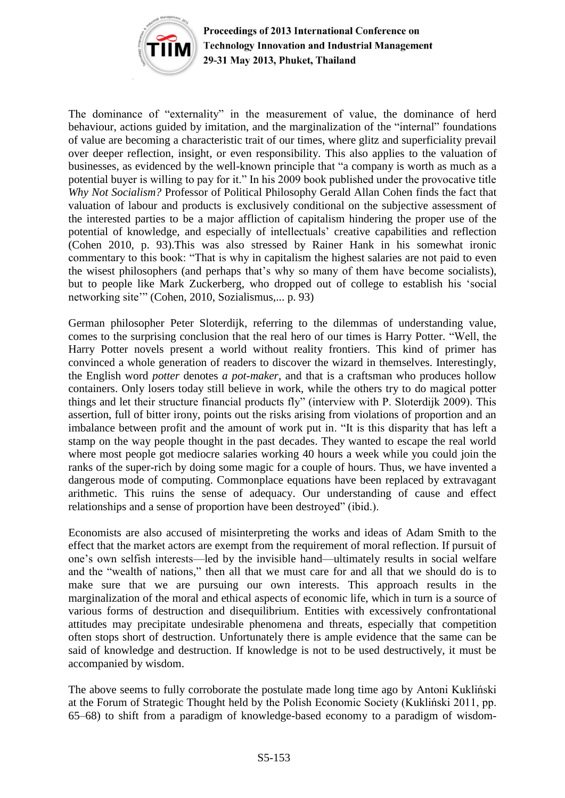

The dominance of "externality" in the measurement of value, the dominance of herd behaviour, actions guided by imitation, and the marginalization of the "internal" foundations of value are becoming a characteristic trait of our times, where glitz and superficiality prevail over deeper reflection, insight, or even responsibility. This also applies to the valuation of businesses, as evidenced by the well-known principle that "a company is worth as much as a potential buyer is willing to pay for it." In his 2009 book published under the provocative title *Why Not Socialism?* Professor of Political Philosophy Gerald Allan Cohen finds the fact that valuation of labour and products is exclusively conditional on the subjective assessment of the interested parties to be a major affliction of capitalism hindering the proper use of the potential of knowledge, and especially of intellectuals' creative capabilities and reflection (Cohen 2010, p. 93).This was also stressed by Rainer Hank in his somewhat ironic commentary to this book: "That is why in capitalism the highest salaries are not paid to even the wisest philosophers (and perhaps that's why so many of them have become socialists), but to people like Mark Zuckerberg, who dropped out of college to establish his 'social networking site'" (Cohen, 2010, Sozialismus,... p. 93)

German philosopher Peter Sloterdijk, referring to the dilemmas of understanding value, comes to the surprising conclusion that the real hero of our times is Harry Potter. "Well, the Harry Potter novels present a world without reality frontiers. This kind of primer has convinced a whole generation of readers to discover the wizard in themselves. Interestingly, the English word *potter* denotes *a pot-maker*, and that is a craftsman who produces hollow containers. Only losers today still believe in work, while the others try to do magical potter things and let their structure financial products fly" (interview with P. Sloterdijk 2009). This assertion, full of bitter irony, points out the risks arising from violations of proportion and an imbalance between profit and the amount of work put in. "It is this disparity that has left a stamp on the way people thought in the past decades. They wanted to escape the real world where most people got mediocre salaries working 40 hours a week while you could join the ranks of the super-rich by doing some magic for a couple of hours. Thus, we have invented a dangerous mode of computing. Commonplace equations have been replaced by extravagant arithmetic. This ruins the sense of adequacy. Our understanding of cause and effect relationships and a sense of proportion have been destroyed" (ibid.).

Economists are also accused of misinterpreting the works and ideas of Adam Smith to the effect that the market actors are exempt from the requirement of moral reflection. If pursuit of one's own selfish interests—led by the invisible hand—ultimately results in social welfare and the "wealth of nations," then all that we must care for and all that we should do is to make sure that we are pursuing our own interests. This approach results in the marginalization of the moral and ethical aspects of economic life, which in turn is a source of various forms of destruction and disequilibrium. Entities with excessively confrontational attitudes may precipitate undesirable phenomena and threats, especially that competition often stops short of destruction. Unfortunately there is ample evidence that the same can be said of knowledge and destruction. If knowledge is not to be used destructively, it must be accompanied by wisdom.

The above seems to fully corroborate the postulate made long time ago by Antoni Kukliński at the Forum of Strategic Thought held by the Polish Economic Society (Kukliński 2011, pp. 65–68) to shift from a paradigm of knowledge-based economy to a paradigm of wisdom-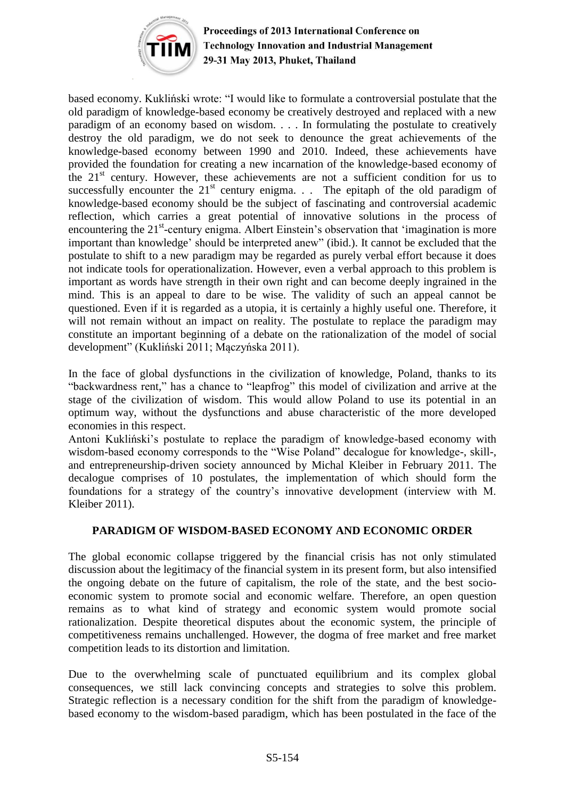

based economy. Kukliński wrote: "I would like to formulate a controversial postulate that the old paradigm of knowledge-based economy be creatively destroyed and replaced with a new paradigm of an economy based on wisdom. . . . In formulating the postulate to creatively destroy the old paradigm, we do not seek to denounce the great achievements of the knowledge-based economy between 1990 and 2010. Indeed, these achievements have provided the foundation for creating a new incarnation of the knowledge-based economy of the  $21<sup>st</sup>$  century. However, these achievements are not a sufficient condition for us to successfully encounter the  $21<sup>st</sup>$  century enigma. . . The epitaph of the old paradigm of knowledge-based economy should be the subject of fascinating and controversial academic reflection, which carries a great potential of innovative solutions in the process of encountering the 21<sup>st</sup>-century enigma. Albert Einstein's observation that 'imagination is more important than knowledge' should be interpreted anew" (ibid.). It cannot be excluded that the postulate to shift to a new paradigm may be regarded as purely verbal effort because it does not indicate tools for operationalization. However, even a verbal approach to this problem is important as words have strength in their own right and can become deeply ingrained in the mind. This is an appeal to dare to be wise. The validity of such an appeal cannot be questioned. Even if it is regarded as a utopia, it is certainly a highly useful one. Therefore, it will not remain without an impact on reality. The postulate to replace the paradigm may constitute an important beginning of a debate on the rationalization of the model of social development" (Kukliński 2011; Mączyńska 2011).

In the face of global dysfunctions in the civilization of knowledge, Poland, thanks to its "backwardness rent," has a chance to "leapfrog" this model of civilization and arrive at the stage of the civilization of wisdom. This would allow Poland to use its potential in an optimum way, without the dysfunctions and abuse characteristic of the more developed economies in this respect.

Antoni Kukliński's postulate to replace the paradigm of knowledge-based economy with wisdom-based economy corresponds to the "Wise Poland" decalogue for knowledge-, skill-, and entrepreneurship-driven society announced by Michal Kleiber in February 2011. The decalogue comprises of 10 postulates, the implementation of which should form the foundations for a strategy of the country's innovative development (interview with M. Kleiber 2011).

### **PARADIGM OF WISDOM-BASED ECONOMY AND ECONOMIC ORDER**

The global economic collapse triggered by the financial crisis has not only stimulated discussion about the legitimacy of the financial system in its present form, but also intensified the ongoing debate on the future of capitalism, the role of the state, and the best socioeconomic system to promote social and economic welfare. Therefore, an open question remains as to what kind of strategy and economic system would promote social rationalization. Despite theoretical disputes about the economic system, the principle of competitiveness remains unchallenged. However, the dogma of free market and free market competition leads to its distortion and limitation.

Due to the overwhelming scale of punctuated equilibrium and its complex global consequences, we still lack convincing concepts and strategies to solve this problem. Strategic reflection is a necessary condition for the shift from the paradigm of knowledgebased economy to the wisdom-based paradigm, which has been postulated in the face of the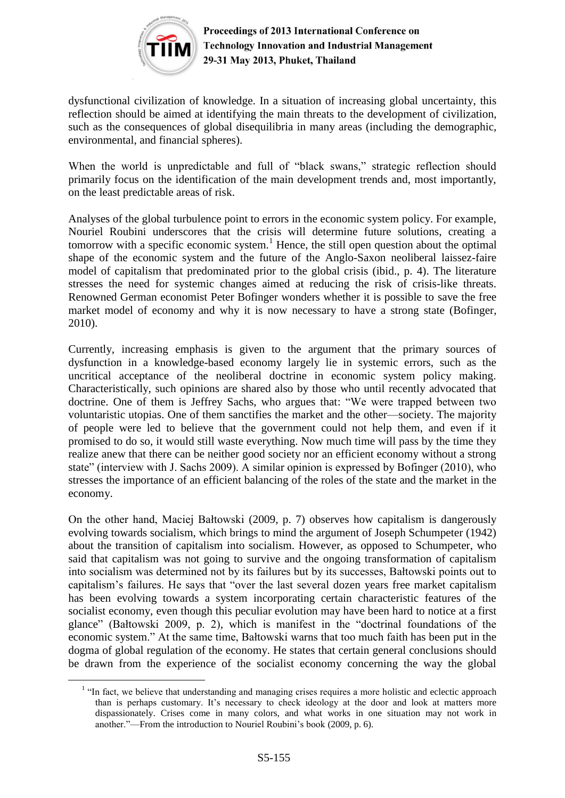

dysfunctional civilization of knowledge. In a situation of increasing global uncertainty, this reflection should be aimed at identifying the main threats to the development of civilization, such as the consequences of global disequilibria in many areas (including the demographic, environmental, and financial spheres).

When the world is unpredictable and full of "black swans," strategic reflection should primarily focus on the identification of the main development trends and, most importantly, on the least predictable areas of risk.

Analyses of the global turbulence point to errors in the economic system policy. For example, Nouriel Roubini underscores that the crisis will determine future solutions, creating a tomorrow with a specific economic system.<sup>1</sup> Hence, the still open question about the optimal shape of the economic system and the future of the Anglo-Saxon neoliberal laissez-faire model of capitalism that predominated prior to the global crisis (ibid., p. 4). The literature stresses the need for systemic changes aimed at reducing the risk of crisis-like threats. Renowned German economist Peter Bofinger wonders whether it is possible to save the free market model of economy and why it is now necessary to have a strong state (Bofinger, 2010).

Currently, increasing emphasis is given to the argument that the primary sources of dysfunction in a knowledge-based economy largely lie in systemic errors, such as the uncritical acceptance of the neoliberal doctrine in economic system policy making. Characteristically, such opinions are shared also by those who until recently advocated that doctrine. One of them is Jeffrey Sachs, who argues that: "We were trapped between two voluntaristic utopias. One of them sanctifies the market and the other—society. The majority of people were led to believe that the government could not help them, and even if it promised to do so, it would still waste everything. Now much time will pass by the time they realize anew that there can be neither good society nor an efficient economy without a strong state" (interview with J. Sachs 2009). A similar opinion is expressed by Bofinger (2010), who stresses the importance of an efficient balancing of the roles of the state and the market in the economy.

On the other hand, Maciej Bałtowski (2009, p. 7) observes how capitalism is dangerously evolving towards socialism, which brings to mind the argument of Joseph Schumpeter (1942) about the transition of capitalism into socialism. However, as opposed to Schumpeter, who said that capitalism was not going to survive and the ongoing transformation of capitalism into socialism was determined not by its failures but by its successes, Bałtowski points out to capitalism's failures. He says that "over the last several dozen years free market capitalism has been evolving towards a system incorporating certain characteristic features of the socialist economy, even though this peculiar evolution may have been hard to notice at a first glance" (Bałtowski 2009, p. 2), which is manifest in the "doctrinal foundations of the economic system." At the same time, Bałtowski warns that too much faith has been put in the dogma of global regulation of the economy. He states that certain general conclusions should be drawn from the experience of the socialist economy concerning the way the global

<sup>&</sup>lt;sup>1</sup> "In fact, we believe that understanding and managing crises requires a more holistic and eclectic approach than is perhaps customary. It's necessary to check ideology at the door and look at matters more dispassionately. Crises come in many colors, and what works in one situation may not work in another."—From the introduction to Nouriel Roubini's book (2009, p. 6).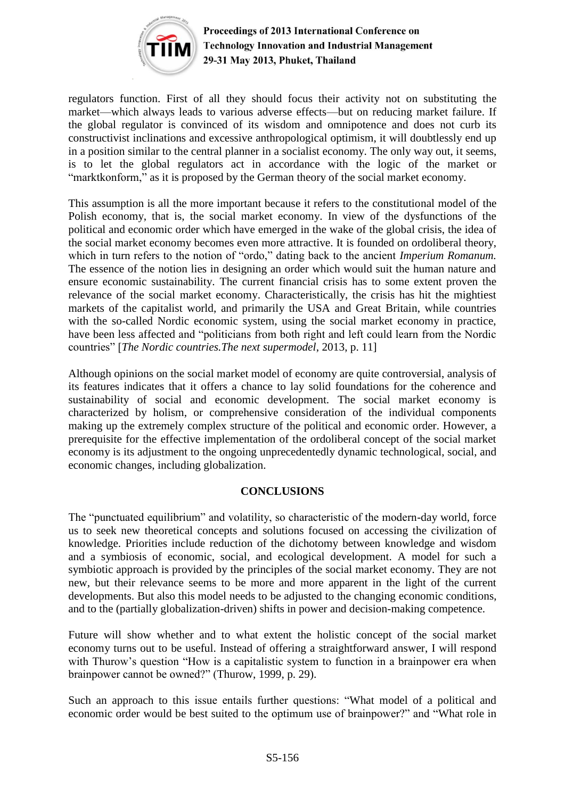

regulators function. First of all they should focus their activity not on substituting the market—which always leads to various adverse effects—but on reducing market failure. If the global regulator is convinced of its wisdom and omnipotence and does not curb its constructivist inclinations and excessive anthropological optimism, it will doubtlessly end up in a position similar to the central planner in a socialist economy. The only way out, it seems, is to let the global regulators act in accordance with the logic of the market or "marktkonform," as it is proposed by the German theory of the social market economy.

This assumption is all the more important because it refers to the constitutional model of the Polish economy, that is, the social market economy. In view of the dysfunctions of the political and economic order which have emerged in the wake of the global crisis, the idea of the social market economy becomes even more attractive. It is founded on ordoliberal theory, which in turn refers to the notion of "ordo," dating back to the ancient *Imperium Romanum.* The essence of the notion lies in designing an order which would suit the human nature and ensure economic sustainability. The current financial crisis has to some extent proven the relevance of the social market economy. Characteristically, the crisis has hit the mightiest markets of the capitalist world, and primarily the USA and Great Britain, while countries with the so-called Nordic economic system, using the social market economy in practice, have been less affected and "politicians from both right and left could learn from the Nordic countries" [*The Nordic countries.The next supermodel*, 2013, p. 11]

Although opinions on the social market model of economy are quite controversial, analysis of its features indicates that it offers a chance to lay solid foundations for the coherence and sustainability of social and economic development. The social market economy is characterized by holism, or comprehensive consideration of the individual components making up the extremely complex structure of the political and economic order. However, a prerequisite for the effective implementation of the ordoliberal concept of the social market economy is its adjustment to the ongoing unprecedentedly dynamic technological, social, and economic changes, including globalization.

# **CONCLUSIONS**

The "punctuated equilibrium" and volatility, so characteristic of the modern-day world, force us to seek new theoretical concepts and solutions focused on accessing the civilization of knowledge. Priorities include reduction of the dichotomy between knowledge and wisdom and a symbiosis of economic, social, and ecological development. A model for such a symbiotic approach is provided by the principles of the social market economy. They are not new, but their relevance seems to be more and more apparent in the light of the current developments. But also this model needs to be adjusted to the changing economic conditions, and to the (partially globalization-driven) shifts in power and decision-making competence.

Future will show whether and to what extent the holistic concept of the social market economy turns out to be useful. Instead of offering a straightforward answer, I will respond with Thurow's question "How is a capitalistic system to function in a brainpower era when brainpower cannot be owned?" (Thurow, 1999, p. 29).

Such an approach to this issue entails further questions: "What model of a political and economic order would be best suited to the optimum use of brainpower?" and "What role in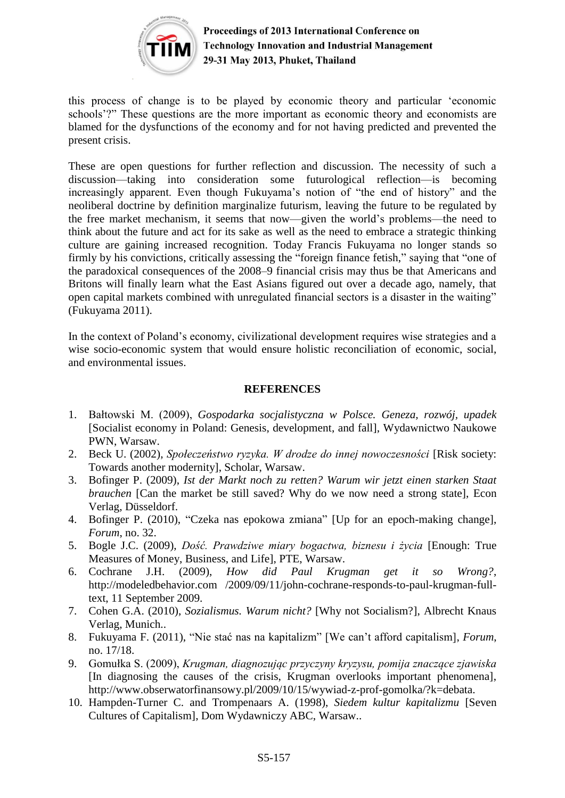

this process of change is to be played by economic theory and particular 'economic schools'?" These questions are the more important as economic theory and economists are blamed for the dysfunctions of the economy and for not having predicted and prevented the present crisis.

These are open questions for further reflection and discussion. The necessity of such a discussion—taking into consideration some futurological reflection—is becoming increasingly apparent. Even though Fukuyama's notion of "the end of history" and the neoliberal doctrine by definition marginalize futurism, leaving the future to be regulated by the free market mechanism, it seems that now—given the world's problems—the need to think about the future and act for its sake as well as the need to embrace a strategic thinking culture are gaining increased recognition. Today Francis Fukuyama no longer stands so firmly by his convictions, critically assessing the "foreign finance fetish," saying that "one of the paradoxical consequences of the 2008–9 financial crisis may thus be that Americans and Britons will finally learn what the East Asians figured out over a decade ago, namely, that open capital markets combined with unregulated financial sectors is a disaster in the waiting" (Fukuyama 2011).

In the context of Poland's economy, civilizational development requires wise strategies and a wise socio-economic system that would ensure holistic reconciliation of economic, social, and environmental issues.

### **REFERENCES**

- 1. Bałtowski M. (2009), *Gospodarka socjalistyczna w Polsce. Geneza, rozwój, upadek* [Socialist economy in Poland: Genesis, development, and fall], Wydawnictwo Naukowe PWN, Warsaw.
- 2. Beck U. (2002), *Społeczeństwo ryzyka. W drodze do innej nowoczesności* [Risk society: Towards another modernity], Scholar, Warsaw.
- 3. Bofinger P. (2009), *Ist der Markt noch zu retten? Warum wir jetzt einen starken Staat brauchen* [Can the market be still saved? Why do we now need a strong state], Econ Verlag, Düsseldorf.
- 4. Bofinger P. (2010), "Czeka nas epokowa zmiana" [Up for an epoch-making change], *Forum*, no. 32.
- 5. Bogle J.C. (2009), *Dość. Prawdziwe miary bogactwa, biznesu i życia* [Enough: True Measures of Money, Business, and Life], PTE, Warsaw.
- 6. Cochrane J.H. (2009), *How did Paul Krugman get it so Wrong?*, http://modeledbehavior.com /2009/09/11/john-cochrane-responds-to-paul-krugman-fulltext, 11 September 2009.
- 7. Cohen G.A. (2010), *Sozialismus. Warum nicht?* [Why not Socialism?], Albrecht Knaus Verlag, Munich..
- 8. Fukuyama F. (2011), "Nie stać nas na kapitalizm" [We can't afford capitalism], *Forum*, no. 17/18.
- 9. Gomułka S. (2009), *Krugman, diagnozując przyczyny kryzysu, pomija znaczące zjawiska* [In diagnosing the causes of the crisis, Krugman overlooks important phenomena], http://www.obserwatorfinansowy.pl/2009/10/15/wywiad-z-prof-gomolka/?k=debata.
- 10. Hampden-Turner C. and Trompenaars A. (1998), *Siedem kultur kapitalizmu* [Seven Cultures of Capitalism], Dom Wydawniczy ABC, Warsaw..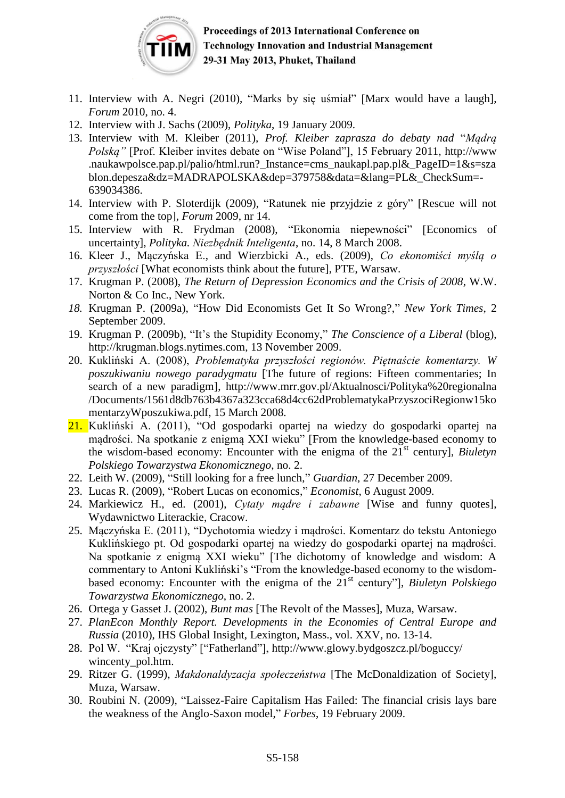

- 11. Interview with A. Negri (2010), "Marks by się uśmiał" [Marx would have a laugh], *Forum* 2010, no. 4.
- 12. Interview with J. Sachs (2009), *Polityka*, 19 January 2009.
- 13. Interview with M. Kleiber (2011), *Prof. Kleiber zaprasza do debaty nad* "*Mądrą Polską"* [Prof. Kleiber invites debate on "Wise Poland"], 15 February 2011, [http://www](http://www/) .naukawpolsce.pap.pl/palio/html.run? Instance=cms\_naukapl.pap.pl&\_PageID=1&s=sza blon.depesza&dz=MADRAPOLSKA&dep=379758&data=&lang=PL&\_CheckSum=- 639034386.
- 14. Interview with P. Sloterdijk (2009), "Ratunek nie przyjdzie z góry" [Rescue will not come from the top], *Forum* 2009, nr 14.
- 15. Interview with R. Frydman (2008), "Ekonomia niepewności" [Economics of uncertainty], *Polityka. Niezbędnik Inteligenta*, no. 14, 8 March 2008.
- 16. Kleer J., Mączyńska E., and Wierzbicki A., eds. (2009), *Co ekonomiści myślą o przyszłości* [What economists think about the future], PTE, Warsaw.
- 17. Krugman P. (2008), *The Return of Depression Economics and the Crisis of 2008*, W.W. Norton & Co Inc., New York.
- *18.* Krugman P. (2009a), "How Did Economists Get It So Wrong?," *New York Times*, 2 September 2009.
- 19. Krugman P. (2009b), "It's the Stupidity Economy," *The Conscience of a Liberal* (blog), [http://krugman.blogs.nytimes.com,](http://krugman.blogs.nytimes.com/) 13 November 2009.
- 20. Kukliński A. (2008), *Problematyka przyszłości regionów. Piętnaście komentarzy. W poszukiwaniu nowego paradygmatu* [The future of regions: Fifteen commentaries; In search of a new paradigm], [http://www.mrr.gov.pl/Aktualnosci/Polityka%20regionalna](http://www.mrr.gov.pl/Aktualnosci/Polityka%20regionalna%20/Documents/1561d8db763b4367a323cca68d4cc62dProblematykaPrzyszociRegionw15komentarzyWposzukiwa.pdf)  [/Documents/1561d8db763b4367a323cca68d4cc62dProblematykaPrzyszociRegionw15ko](http://www.mrr.gov.pl/Aktualnosci/Polityka%20regionalna%20/Documents/1561d8db763b4367a323cca68d4cc62dProblematykaPrzyszociRegionw15komentarzyWposzukiwa.pdf) [mentarzyWposzukiwa.pdf,](http://www.mrr.gov.pl/Aktualnosci/Polityka%20regionalna%20/Documents/1561d8db763b4367a323cca68d4cc62dProblematykaPrzyszociRegionw15komentarzyWposzukiwa.pdf) 15 March 2008.
- 21. Kukliński A. (2011), "Od gospodarki opartej na wiedzy do gospodarki opartej na mądrości. Na spotkanie z enigmą XXI wieku" [From the knowledge-based economy to the wisdom-based economy: Encounter with the enigma of the 21<sup>st</sup> century], *Biuletyn Polskiego Towarzystwa Ekonomicznego*, no. 2.
- 22. Leith W. (2009), "Still looking for a free lunch," *Guardian*, 27 December 2009.
- 23. Lucas R. (2009), "Robert Lucas on economics," *Economist*, 6 August 2009.
- 24. Markiewicz H., ed. (2001), *Cytaty mądre i zabawne* [Wise and funny quotes], Wydawnictwo Literackie, Cracow.
- 25. Mączyńska E. (2011), "Dychotomia wiedzy i mądrości. Komentarz do tekstu Antoniego Kuklińskiego pt. Od gospodarki opartej na wiedzy do gospodarki opartej na mądrości. Na spotkanie z enigmą XXI wieku" [The dichotomy of knowledge and wisdom: A commentary to Antoni Kukliński's "From the knowledge-based economy to the wisdombased economy: Encounter with the enigma of the 21st century"], *Biuletyn Polskiego Towarzystwa Ekonomicznego*, no. 2.
- 26. Ortega y Gasset J. (2002), *Bunt mas* [The Revolt of the Masses], Muza, Warsaw.
- 27. *PlanEcon Monthly Report. Developments in the Economies of Central Europe and Russia* (2010), IHS Global Insight, Lexington, Mass., vol. XXV, no. 13-14.
- 28. Pol W. "Kraj ojczysty" ["Fatherland"],<http://www.glowy.bydgoszcz.pl/boguccy/> wincenty pol.htm.
- 29. Ritzer G. (1999), *Makdonaldyzacja społeczeństwa* [The McDonaldization of Society], Muza, Warsaw.
- 30. Roubini N. (2009), "Laissez-Faire Capitalism Has Failed: The financial crisis lays bare the weakness of the Anglo-Saxon model," *Forbes*, 19 February 2009.